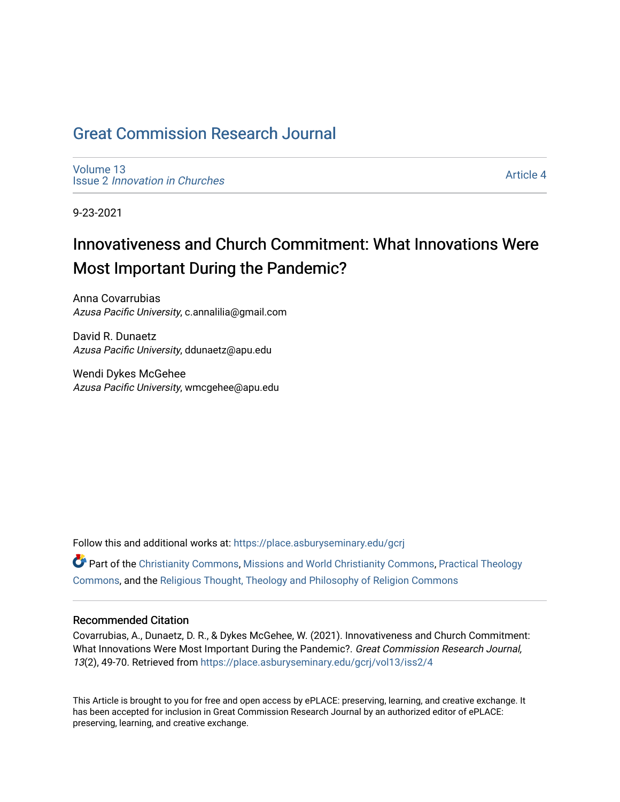# [Great Commission Research Journal](https://place.asburyseminary.edu/gcrj)

[Volume 13](https://place.asburyseminary.edu/gcrj/vol13) Issue 2 [Innovation in Churches](https://place.asburyseminary.edu/gcrj/vol13/iss2)

[Article 4](https://place.asburyseminary.edu/gcrj/vol13/iss2/4) 

9-23-2021

# Innovativeness and Church Commitment: What Innovations Were Most Important During the Pandemic?

Anna Covarrubias Azusa Pacific University, c.annalilia@gmail.com

David R. Dunaetz Azusa Pacific University, ddunaetz@apu.edu

Wendi Dykes McGehee Azusa Pacific University, wmcgehee@apu.edu

Follow this and additional works at: [https://place.asburyseminary.edu/gcrj](https://place.asburyseminary.edu/gcrj?utm_source=place.asburyseminary.edu%2Fgcrj%2Fvol13%2Fiss2%2F4&utm_medium=PDF&utm_campaign=PDFCoverPages) 

 $\bullet$  Part of the [Christianity Commons,](http://network.bepress.com/hgg/discipline/1181?utm_source=place.asburyseminary.edu%2Fgcrj%2Fvol13%2Fiss2%2F4&utm_medium=PDF&utm_campaign=PDFCoverPages) [Missions and World Christianity Commons](http://network.bepress.com/hgg/discipline/1187?utm_source=place.asburyseminary.edu%2Fgcrj%2Fvol13%2Fiss2%2F4&utm_medium=PDF&utm_campaign=PDFCoverPages), Practical Theology [Commons](http://network.bepress.com/hgg/discipline/1186?utm_source=place.asburyseminary.edu%2Fgcrj%2Fvol13%2Fiss2%2F4&utm_medium=PDF&utm_campaign=PDFCoverPages), and the [Religious Thought, Theology and Philosophy of Religion Commons](http://network.bepress.com/hgg/discipline/544?utm_source=place.asburyseminary.edu%2Fgcrj%2Fvol13%2Fiss2%2F4&utm_medium=PDF&utm_campaign=PDFCoverPages) 

#### Recommended Citation

Covarrubias, A., Dunaetz, D. R., & Dykes McGehee, W. (2021). Innovativeness and Church Commitment: What Innovations Were Most Important During the Pandemic?. Great Commission Research Journal, 13(2), 49-70. Retrieved from [https://place.asburyseminary.edu/gcrj/vol13/iss2/4](https://place.asburyseminary.edu/gcrj/vol13/iss2/4?utm_source=place.asburyseminary.edu%2Fgcrj%2Fvol13%2Fiss2%2F4&utm_medium=PDF&utm_campaign=PDFCoverPages) 

This Article is brought to you for free and open access by ePLACE: preserving, learning, and creative exchange. It has been accepted for inclusion in Great Commission Research Journal by an authorized editor of ePLACE: preserving, learning, and creative exchange.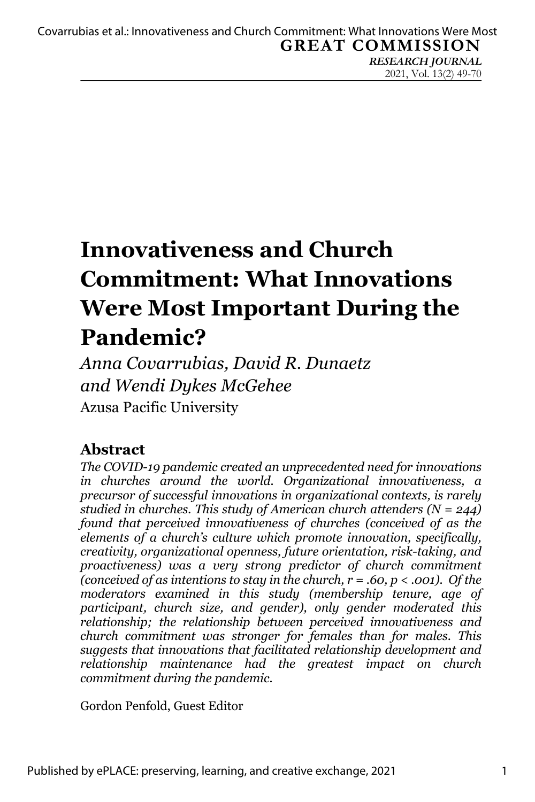*RESEARCH JOURNAL* 2021, Vol. 13(2) 49-70

# **Innovativeness and Church Commitment: What Innovations Were Most Important During the Pandemic?**

*Anna Covarrubias, David R. Dunaetz and Wendi Dykes McGehee* Azusa Pacific University

# **Abstract**

*The COVID-19 pandemic created an unprecedented need for innovations in churches around the world. Organizational innovativeness, a precursor of successful innovations in organizational contexts, is rarely studied in churches. This study of American church attenders (N = 244) found that perceived innovativeness of churches (conceived of as the elements of a church's culture which promote innovation, specifically, creativity, organizational openness, future orientation, risk-taking, and proactiveness) was a very strong predictor of church commitment (conceived of as intentions to stay in the church, r = .60, p < .001). Of the moderators examined in this study (membership tenure, age of participant, church size, and gender), only gender moderated this relationship; the relationship between perceived innovativeness and church commitment was stronger for females than for males. This suggests that innovations that facilitated relationship development and relationship maintenance had the greatest impact on church commitment during the pandemic.*

Gordon Penfold, Guest Editor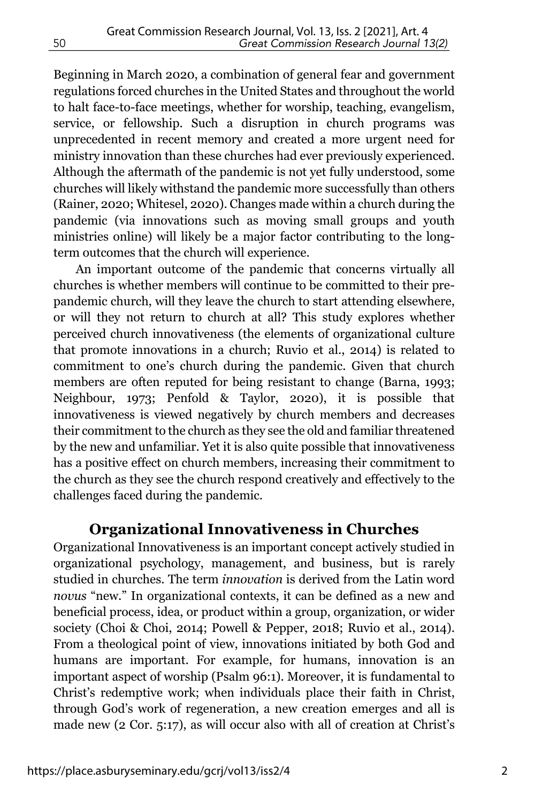Beginning in March 2020, a combination of general fear and government regulations forced churches in the United States and throughout the world to halt face-to-face meetings, whether for worship, teaching, evangelism, service, or fellowship. Such a disruption in church programs was unprecedented in recent memory and created a more urgent need for ministry innovation than these churches had ever previously experienced. Although the aftermath of the pandemic is not yet fully understood, some churches will likely withstand the pandemic more successfully than others (Rainer, 2020; Whitesel, 2020). Changes made within a church during the pandemic (via innovations such as moving small groups and youth ministries online) will likely be a major factor contributing to the longterm outcomes that the church will experience.

An important outcome of the pandemic that concerns virtually all churches is whether members will continue to be committed to their prepandemic church, will they leave the church to start attending elsewhere, or will they not return to church at all? This study explores whether perceived church innovativeness (the elements of organizational culture that promote innovations in a church; Ruvio et al., 2014) is related to commitment to one's church during the pandemic. Given that church members are often reputed for being resistant to change (Barna, 1993; Neighbour, 1973; Penfold & Taylor, 2020), it is possible that innovativeness is viewed negatively by church members and decreases their commitment to the church as they see the old and familiar threatened by the new and unfamiliar. Yet it is also quite possible that innovativeness has a positive effect on church members, increasing their commitment to the church as they see the church respond creatively and effectively to the challenges faced during the pandemic.

## **Organizational Innovativeness in Churches**

Organizational Innovativeness is an important concept actively studied in organizational psychology, management, and business, but is rarely studied in churches. The term *innovation* is derived from the Latin word *novus* "new." In organizational contexts, it can be defined as a new and beneficial process, idea, or product within a group, organization, or wider society (Choi & Choi, 2014; Powell & Pepper, 2018; Ruvio et al., 2014). From a theological point of view, innovations initiated by both God and humans are important. For example, for humans, innovation is an important aspect of worship (Psalm 96:1). Moreover, it is fundamental to Christ's redemptive work; when individuals place their faith in Christ, through God's work of regeneration, a new creation emerges and all is made new (2 Cor. 5:17), as will occur also with all of creation at Christ's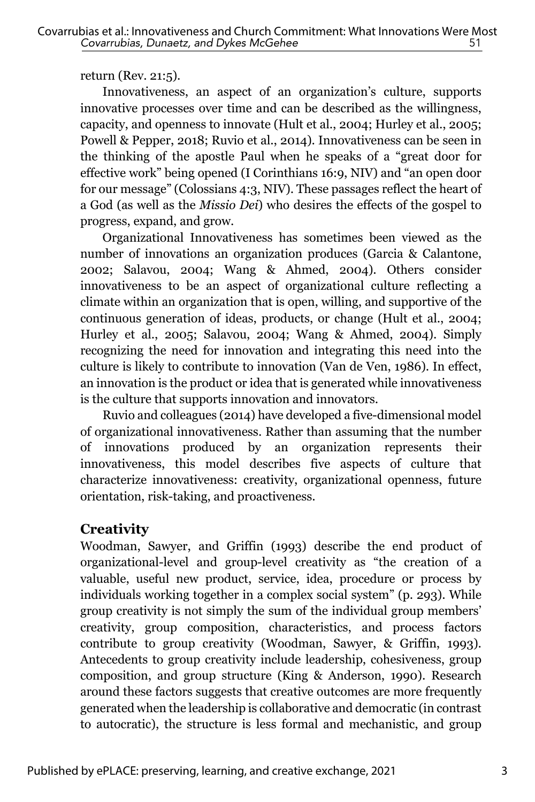return (Rev. 21:5).

Innovativeness, an aspect of an organization's culture, supports innovative processes over time and can be described as the willingness, capacity, and openness to innovate (Hult et al., 2004; Hurley et al., 2005; Powell & Pepper, 2018; Ruvio et al., 2014). Innovativeness can be seen in the thinking of the apostle Paul when he speaks of a "great door for effective work" being opened (I Corinthians 16:9, NIV) and "an open door for our message" (Colossians 4:3, NIV). These passages reflect the heart of a God (as well as the *Missio Dei*) who desires the effects of the gospel to progress, expand, and grow.

Organizational Innovativeness has sometimes been viewed as the number of innovations an organization produces (Garcia & Calantone, 2002; Salavou, 2004; Wang & Ahmed, 2004). Others consider innovativeness to be an aspect of organizational culture reflecting a climate within an organization that is open, willing, and supportive of the continuous generation of ideas, products, or change (Hult et al., 2004; Hurley et al., 2005; Salavou, 2004; Wang & Ahmed, 2004). Simply recognizing the need for innovation and integrating this need into the culture is likely to contribute to innovation (Van de Ven, 1986). In effect, an innovation is the product or idea that is generated while innovativeness is the culture that supports innovation and innovators.

Ruvio and colleagues (2014) have developed a five-dimensional model of organizational innovativeness. Rather than assuming that the number of innovations produced by an organization represents their innovativeness, this model describes five aspects of culture that characterize innovativeness: creativity, organizational openness, future orientation, risk-taking, and proactiveness.

## **Creativity**

Woodman, Sawyer, and Griffin (1993) describe the end product of organizational-level and group-level creativity as "the creation of a valuable, useful new product, service, idea, procedure or process by individuals working together in a complex social system" (p. 293). While group creativity is not simply the sum of the individual group members' creativity, group composition, characteristics, and process factors contribute to group creativity (Woodman, Sawyer, & Griffin, 1993). Antecedents to group creativity include leadership, cohesiveness, group composition, and group structure (King & Anderson, 1990). Research around these factors suggests that creative outcomes are more frequently generated when the leadership is collaborative and democratic (in contrast to autocratic), the structure is less formal and mechanistic, and group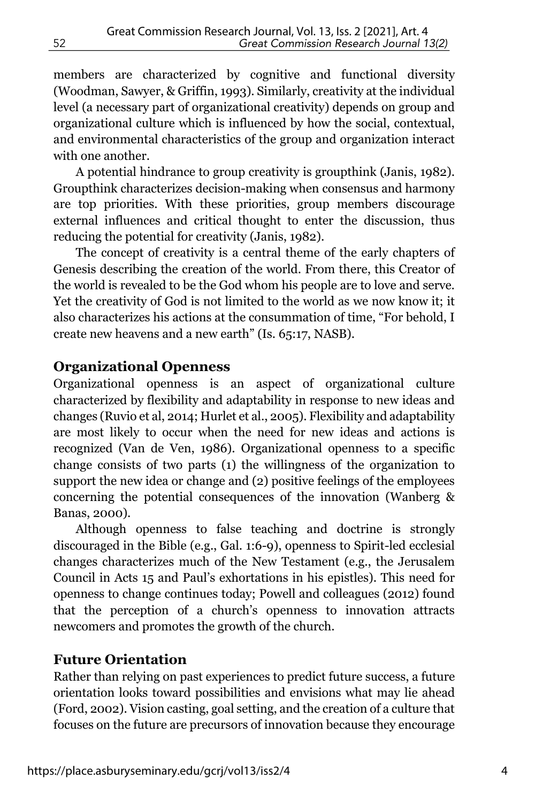members are characterized by cognitive and functional diversity (Woodman, Sawyer, & Griffin, 1993). Similarly, creativity at the individual level (a necessary part of organizational creativity) depends on group and organizational culture which is influenced by how the social, contextual, and environmental characteristics of the group and organization interact with one another.

A potential hindrance to group creativity is groupthink (Janis, 1982). Groupthink characterizes decision-making when consensus and harmony are top priorities. With these priorities, group members discourage external influences and critical thought to enter the discussion, thus reducing the potential for creativity (Janis, 1982).

The concept of creativity is a central theme of the early chapters of Genesis describing the creation of the world. From there, this Creator of the world is revealed to be the God whom his people are to love and serve. Yet the creativity of God is not limited to the world as we now know it; it also characterizes his actions at the consummation of time, "For behold, I create new heavens and a new earth" (Is. 65:17, NASB).

## **Organizational Openness**

Organizational openness is an aspect of organizational culture characterized by flexibility and adaptability in response to new ideas and changes (Ruvio et al, 2014; Hurlet et al., 2005). Flexibility and adaptability are most likely to occur when the need for new ideas and actions is recognized (Van de Ven, 1986). Organizational openness to a specific change consists of two parts (1) the willingness of the organization to support the new idea or change and (2) positive feelings of the employees concerning the potential consequences of the innovation (Wanberg & Banas, 2000).

Although openness to false teaching and doctrine is strongly discouraged in the Bible (e.g., Gal. 1:6-9), openness to Spirit-led ecclesial changes characterizes much of the New Testament (e.g., the Jerusalem Council in Acts 15 and Paul's exhortations in his epistles). This need for openness to change continues today; Powell and colleagues (2012) found that the perception of a church's openness to innovation attracts newcomers and promotes the growth of the church.

#### **Future Orientation**

Rather than relying on past experiences to predict future success, a future orientation looks toward possibilities and envisions what may lie ahead (Ford, 2002). Vision casting, goal setting, and the creation of a culture that focuses on the future are precursors of innovation because they encourage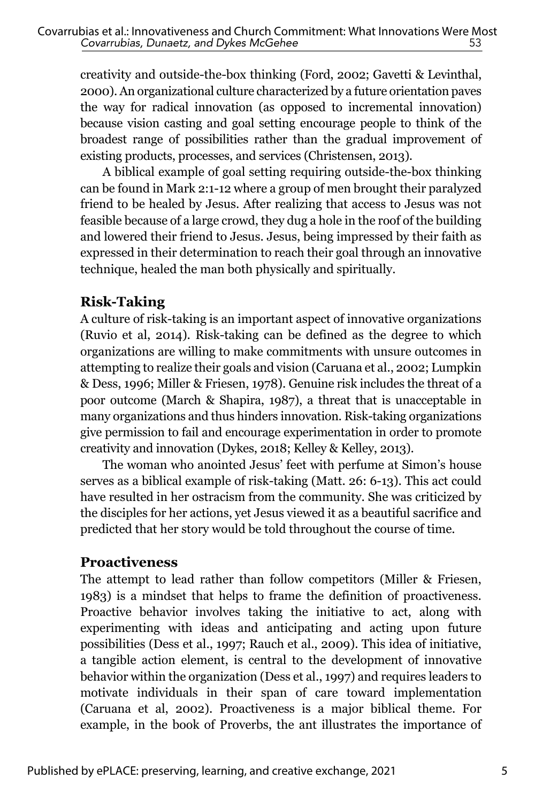creativity and outside-the-box thinking (Ford, 2002; Gavetti & Levinthal, 2000). An organizational culture characterized by a future orientation paves the way for radical innovation (as opposed to incremental innovation) because vision casting and goal setting encourage people to think of the broadest range of possibilities rather than the gradual improvement of existing products, processes, and services (Christensen, 2013).

A biblical example of goal setting requiring outside-the-box thinking can be found in Mark 2:1-12 where a group of men brought their paralyzed friend to be healed by Jesus. After realizing that access to Jesus was not feasible because of a large crowd, they dug a hole in the roof of the building and lowered their friend to Jesus. Jesus, being impressed by their faith as expressed in their determination to reach their goal through an innovative technique, healed the man both physically and spiritually.

## **Risk-Taking**

A culture of risk-taking is an important aspect of innovative organizations (Ruvio et al, 2014). Risk-taking can be defined as the degree to which organizations are willing to make commitments with unsure outcomes in attempting to realize their goals and vision (Caruana et al., 2002; Lumpkin & Dess, 1996; Miller & Friesen, 1978). Genuine risk includes the threat of a poor outcome (March & Shapira, 1987), a threat that is unacceptable in many organizations and thus hinders innovation. Risk-taking organizations give permission to fail and encourage experimentation in order to promote creativity and innovation (Dykes, 2018; Kelley & Kelley, 2013).

The woman who anointed Jesus' feet with perfume at Simon's house serves as a biblical example of risk-taking (Matt. 26: 6-13). This act could have resulted in her ostracism from the community. She was criticized by the disciples for her actions, yet Jesus viewed it as a beautiful sacrifice and predicted that her story would be told throughout the course of time.

## **Proactiveness**

The attempt to lead rather than follow competitors (Miller & Friesen, 1983) is a mindset that helps to frame the definition of proactiveness. Proactive behavior involves taking the initiative to act, along with experimenting with ideas and anticipating and acting upon future possibilities (Dess et al., 1997; Rauch et al., 2009). This idea of initiative, a tangible action element, is central to the development of innovative behavior within the organization (Dess et al., 1997) and requires leaders to motivate individuals in their span of care toward implementation (Caruana et al, 2002). Proactiveness is a major biblical theme. For example, in the book of Proverbs, the ant illustrates the importance of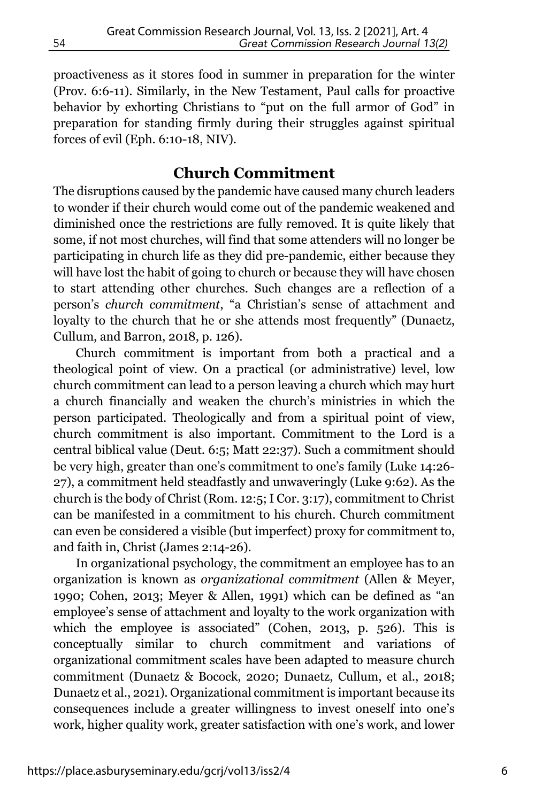proactiveness as it stores food in summer in preparation for the winter (Prov. 6:6-11). Similarly, in the New Testament, Paul calls for proactive behavior by exhorting Christians to "put on the full armor of God" in preparation for standing firmly during their struggles against spiritual forces of evil (Eph. 6:10-18, NIV).

## **Church Commitment**

The disruptions caused by the pandemic have caused many church leaders to wonder if their church would come out of the pandemic weakened and diminished once the restrictions are fully removed. It is quite likely that some, if not most churches, will find that some attenders will no longer be participating in church life as they did pre-pandemic, either because they will have lost the habit of going to church or because they will have chosen to start attending other churches. Such changes are a reflection of a person's *church commitment*, "a Christian's sense of attachment and loyalty to the church that he or she attends most frequently" (Dunaetz, Cullum, and Barron, 2018, p. 126).

Church commitment is important from both a practical and a theological point of view. On a practical (or administrative) level, low church commitment can lead to a person leaving a church which may hurt a church financially and weaken the church's ministries in which the person participated. Theologically and from a spiritual point of view, church commitment is also important. Commitment to the Lord is a central biblical value (Deut. 6:5; Matt 22:37). Such a commitment should be very high, greater than one's commitment to one's family (Luke 14:26- 27), a commitment held steadfastly and unwaveringly (Luke 9:62). As the church is the body of Christ (Rom. 12:5; I Cor. 3:17), commitment to Christ can be manifested in a commitment to his church. Church commitment can even be considered a visible (but imperfect) proxy for commitment to, and faith in, Christ (James 2:14-26).

In organizational psychology, the commitment an employee has to an organization is known as *organizational commitment* (Allen & Meyer, 1990; Cohen, 2013; Meyer & Allen, 1991) which can be defined as "an employee's sense of attachment and loyalty to the work organization with which the employee is associated" (Cohen, 2013, p. 526). This is conceptually similar to church commitment and variations organizational commitment scales have been adapted to measure church commitment (Dunaetz & Bocock, 2020; Dunaetz, Cullum, et al., 2018; Dunaetz et al., 2021). Organizational commitment is important because its consequences include a greater willingness to invest oneself into one's work, higher quality work, greater satisfaction with one's work, and lower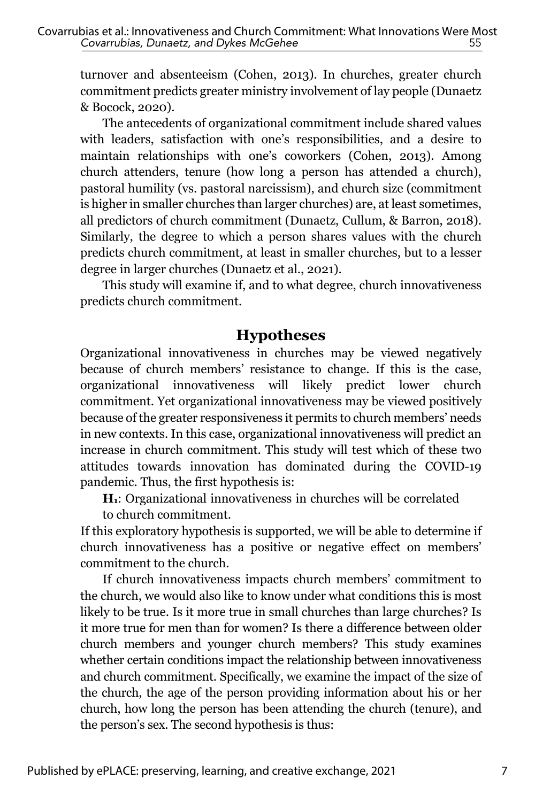turnover and absenteeism (Cohen, 2013). In churches, greater church commitment predicts greater ministry involvement of lay people (Dunaetz & Bocock, 2020).

The antecedents of organizational commitment include shared values with leaders, satisfaction with one's responsibilities, and a desire to maintain relationships with one's coworkers (Cohen, 2013). Among church attenders, tenure (how long a person has attended a church), pastoral humility (vs. pastoral narcissism), and church size (commitment is higher in smaller churches than larger churches) are, at least sometimes, all predictors of church commitment (Dunaetz, Cullum, & Barron, 2018). Similarly, the degree to which a person shares values with the church predicts church commitment, at least in smaller churches, but to a lesser degree in larger churches (Dunaetz et al., 2021).

This study will examine if, and to what degree, church innovativeness predicts church commitment.

## **Hypotheses**

Organizational innovativeness in churches may be viewed negatively because of church members' resistance to change. If this is the case, organizational innovativeness will likely predict lower church commitment. Yet organizational innovativeness may be viewed positively because of the greater responsiveness it permits to church members' needs in new contexts. In this case, organizational innovativeness will predict an increase in church commitment. This study will test which of these two attitudes towards innovation has dominated during the COVID-19 pandemic. Thus, the first hypothesis is:

**H1**: Organizational innovativeness in churches will be correlated to church commitment.

If this exploratory hypothesis is supported, we will be able to determine if church innovativeness has a positive or negative effect on members' commitment to the church.

If church innovativeness impacts church members' commitment to the church, we would also like to know under what conditions this is most likely to be true. Is it more true in small churches than large churches? Is it more true for men than for women? Is there a difference between older church members and younger church members? This study examines whether certain conditions impact the relationship between innovativeness and church commitment. Specifically, we examine the impact of the size of the church, the age of the person providing information about his or her church, how long the person has been attending the church (tenure), and the person's sex. The second hypothesis is thus: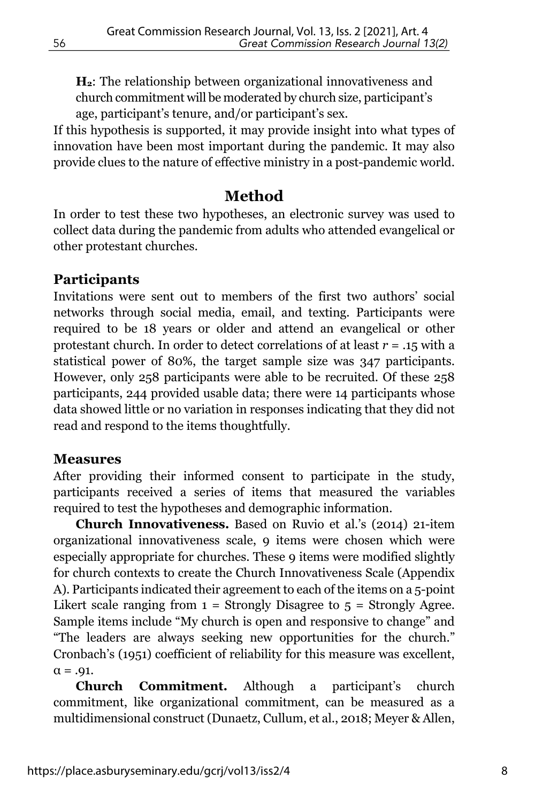**H2**: The relationship between organizational innovativeness and church commitment will be moderated by church size, participant's age, participant's tenure, and/or participant's sex.

If this hypothesis is supported, it may provide insight into what types of innovation have been most important during the pandemic. It may also provide clues to the nature of effective ministry in a post-pandemic world.

## **Method**

In order to test these two hypotheses, an electronic survey was used to collect data during the pandemic from adults who attended evangelical or other protestant churches.

#### **Participants**

Invitations were sent out to members of the first two authors' social networks through social media, email, and texting. Participants were required to be 18 years or older and attend an evangelical or other protestant church. In order to detect correlations of at least *r* = .15 with a statistical power of 80%, the target sample size was 347 participants. However, only 258 participants were able to be recruited. Of these 258 participants, 244 provided usable data; there were 14 participants whose data showed little or no variation in responses indicating that they did not read and respond to the items thoughtfully.

#### **Measures**

After providing their informed consent to participate in the study, participants received a series of items that measured the variables required to test the hypotheses and demographic information.

**Church Innovativeness.** Based on Ruvio et al.'s (2014) 21-item organizational innovativeness scale, 9 items were chosen which were especially appropriate for churches. These 9 items were modified slightly for church contexts to create the Church Innovativeness Scale (Appendix A). Participants indicated their agreement to each of the items on a 5-point Likert scale ranging from  $1 =$  Strongly Disagree to  $5 =$  Strongly Agree. Sample items include "My church is open and responsive to change" and "The leaders are always seeking new opportunities for the church." Cronbach's (1951) coefficient of reliability for this measure was excellent,  $\alpha = .91$ .

**Church Commitment.** Although a participant's church commitment, like organizational commitment, can be measured as a multidimensional construct (Dunaetz, Cullum, et al., 2018; Meyer & Allen,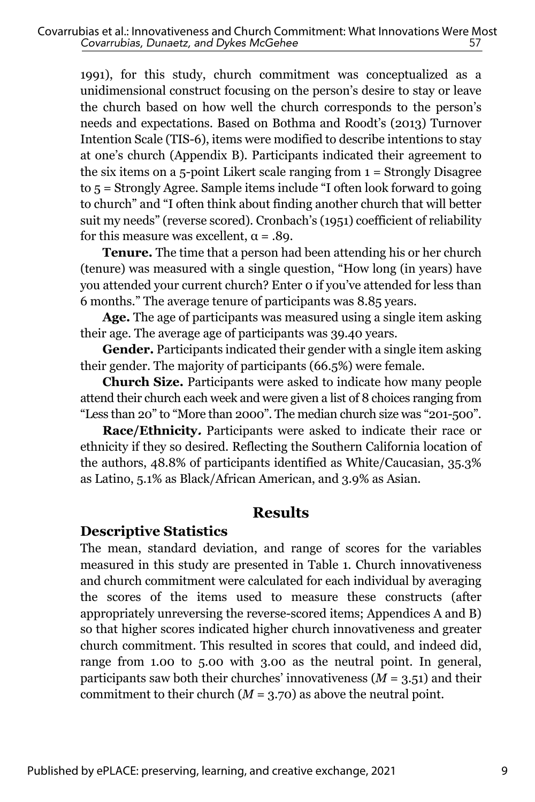1991), for this study, church commitment was conceptualized as a unidimensional construct focusing on the person's desire to stay or leave the church based on how well the church corresponds to the person's needs and expectations. Based on Bothma and Roodt's (2013) Turnover Intention Scale (TIS-6), items were modified to describe intentions to stay at one's church (Appendix B). Participants indicated their agreement to the six items on a 5-point Likert scale ranging from 1 = Strongly Disagree to 5 = Strongly Agree. Sample items include "I often look forward to going to church" and "I often think about finding another church that will better suit my needs" (reverse scored). Cronbach's (1951) coefficient of reliability for this measure was excellent,  $\alpha = .89$ .

**Tenure.** The time that a person had been attending his or her church (tenure) was measured with a single question, "How long (in years) have you attended your current church? Enter 0 if you've attended for less than 6 months." The average tenure of participants was 8.85 years.

**Age.** The age of participants was measured using a single item asking their age. The average age of participants was 39.40 years.

**Gender.** Participants indicated their gender with a single item asking their gender. The majority of participants (66.5%) were female.

**Church Size.** Participants were asked to indicate how many people attend their church each week and were given a list of 8 choices ranging from "Less than 20" to "More than 2000". The median church size was "201-500".

**Race/Ethnicity.** Participants were asked to indicate their race or ethnicity if they so desired. Reflecting the Southern California location of the authors, 48.8% of participants identified as White/Caucasian, 35.3% as Latino, 5.1% as Black/African American, and 3.9% as Asian.

## **Results**

#### **Descriptive Statistics**

The mean, standard deviation, and range of scores for the variables measured in this study are presented in Table 1. Church innovativeness and church commitment were calculated for each individual by averaging the scores of the items used to measure these constructs (after appropriately unreversing the reverse-scored items; Appendices A and B) so that higher scores indicated higher church innovativeness and greater church commitment. This resulted in scores that could, and indeed did, range from 1.00 to 5.00 with 3.00 as the neutral point. In general, participants saw both their churches' innovativeness  $(M = 3.51)$  and their commitment to their church  $(M = 3.70)$  as above the neutral point.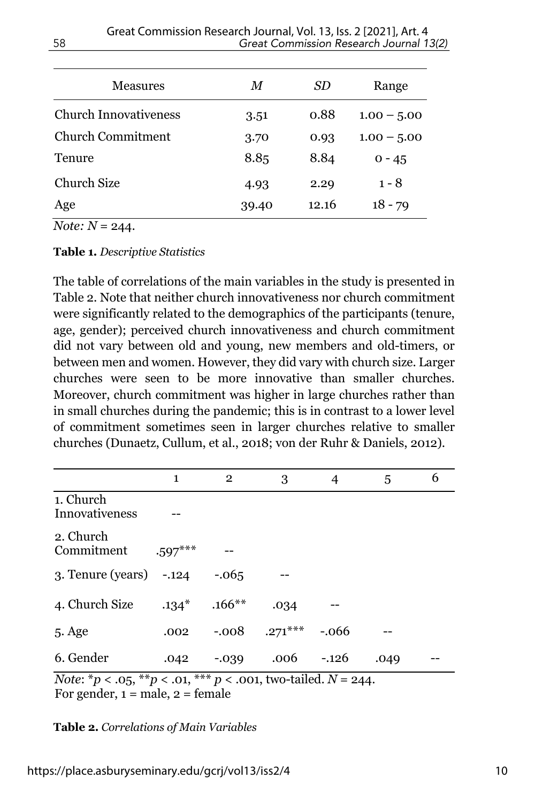| Measures                     | M     | SD    | Range         |  |
|------------------------------|-------|-------|---------------|--|
| <b>Church Innovativeness</b> | 3.51  | 0.88  | $1.00 - 5.00$ |  |
| Church Commitment            | 3.70  | 0.93  | $1.00 - 5.00$ |  |
| <b>Tenure</b>                | 8.85  | 8.84  | $0 - 45$      |  |
| <b>Church Size</b>           | 4.93  | 2.29  | $1 - 8$       |  |
| Age                          | 39.40 | 12.16 | $18 - 79$     |  |

*Note:*  $N = 244$ .

#### **Table 1.** *Descriptive Statistics*

The table of correlations of the main variables in the study is presented in Table 2. Note that neither church innovativeness nor church commitment were significantly related to the demographics of the participants (tenure, age, gender); perceived church innovativeness and church commitment did not vary between old and young, new members and old-timers, or between men and women. However, they did vary with church size. Larger churches were seen to be more innovative than smaller churches. Moreover, church commitment was higher in large churches rather than in small churches during the pandemic; this is in contrast to a lower level of commitment sometimes seen in larger churches relative to smaller churches (Dunaetz, Cullum, et al., 2018; von der Ruhr & Daniels, 2012).

|                                                                                                     | $\mathbf{1}$ | $\mathbf{2}$ | 3             | 4       | 5    | 6 |  |
|-----------------------------------------------------------------------------------------------------|--------------|--------------|---------------|---------|------|---|--|
| 1. Church<br>Innovativeness                                                                         |              |              |               |         |      |   |  |
| 2. Church<br>Commitment                                                                             | $.597***$    |              |               |         |      |   |  |
| $3.$ Tenure (years) $-.124$                                                                         |              | $-.065$      |               |         |      |   |  |
| 4. Church Size                                                                                      | $.134*$      | $.166**$     | .034          |         |      |   |  |
| 5. Age                                                                                              | .002         | $-.008$      | $.271***$     | $-.066$ |      |   |  |
| 6. Gender                                                                                           | .042         | $-0.39$      | $.006 - .126$ |         | .049 |   |  |
| <i>Note</i> : * <i>p</i> < .05, ** <i>p</i> < .01, *** <i>p</i> < .001, two-tailed. <i>N</i> = 244. |              |              |               |         |      |   |  |

For gender,  $1 = \text{male}$ ,  $2 = \text{female}$ 

**Table 2.** *Correlations of Main Variables*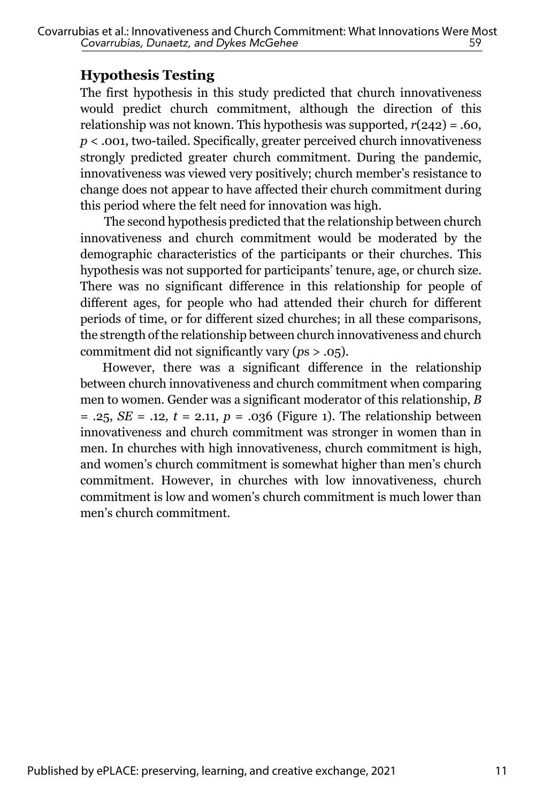## **Hypothesis Testing**

The first hypothesis in this study predicted that church innovativeness would predict church commitment, although the direction of this relationship was not known. This hypothesis was supported, *r*(242) = .60, *p* < .001, two-tailed. Specifically, greater perceived church innovativeness strongly predicted greater church commitment. During the pandemic, innovativeness was viewed very positively; church member's resistance to change does not appear to have affected their church commitment during this period where the felt need for innovation was high.

 The second hypothesis predicted that the relationship between church innovativeness and church commitment would be moderated by the demographic characteristics of the participants or their churches. This hypothesis was not supported for participants' tenure, age, or church size. There was no significant difference in this relationship for people of different ages, for people who had attended their church for different periods of time, or for different sized churches; in all these comparisons, the strength of the relationship between church innovativeness and church commitment did not significantly vary (*p*s > .05).

However, there was a significant difference in the relationship between church innovativeness and church commitment when comparing men to women. Gender was a significant moderator of this relationship, *B* = .25, *SE* = .12*, t* = 2.11, *p* = .036 (Figure 1). The relationship between innovativeness and church commitment was stronger in women than in men. In churches with high innovativeness, church commitment is high, and women's church commitment is somewhat higher than men's church commitment. However, in churches with low innovativeness, church commitment is low and women's church commitment is much lower than men's church commitment.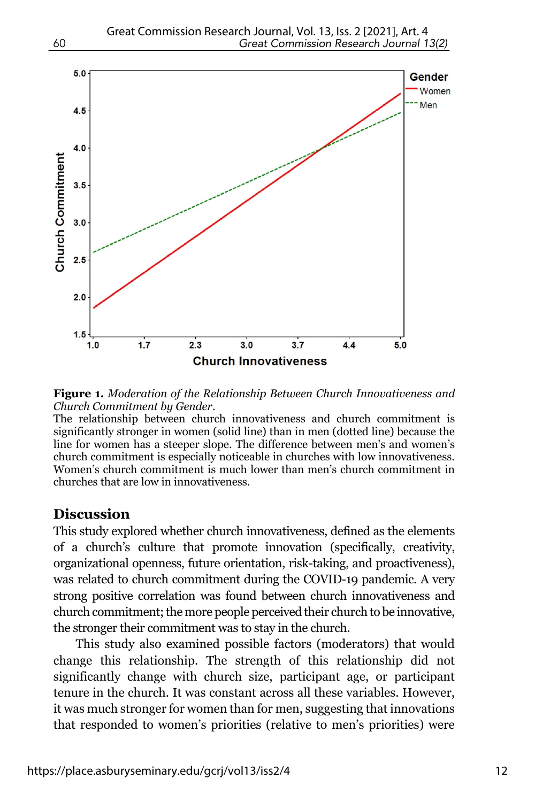

**Figure 1.** *Moderation of the Relationship Between Church Innovativeness and Church Commitment by Gender.*

The relationship between church innovativeness and church commitment is significantly stronger in women (solid line) than in men (dotted line) because the line for women has a steeper slope. The difference between men's and women's church commitment is especially noticeable in churches with low innovativeness. Women's church commitment is much lower than men's church commitment in churches that are low in innovativeness.

#### **Discussion**

This study explored whether church innovativeness, defined as the elements of a church's culture that promote innovation (specifically, creativity, organizational openness, future orientation, risk-taking, and proactiveness), was related to church commitment during the COVID-19 pandemic. A very strong positive correlation was found between church innovativeness and church commitment; the more people perceived their church to be innovative, the stronger their commitment was to stay in the church.

This study also examined possible factors (moderators) that would change this relationship. The strength of this relationship did not significantly change with church size, participant age, or participant tenure in the church. It was constant across all these variables. However, it was much stronger for women than for men, suggesting that innovations that responded to women's priorities (relative to men's priorities) were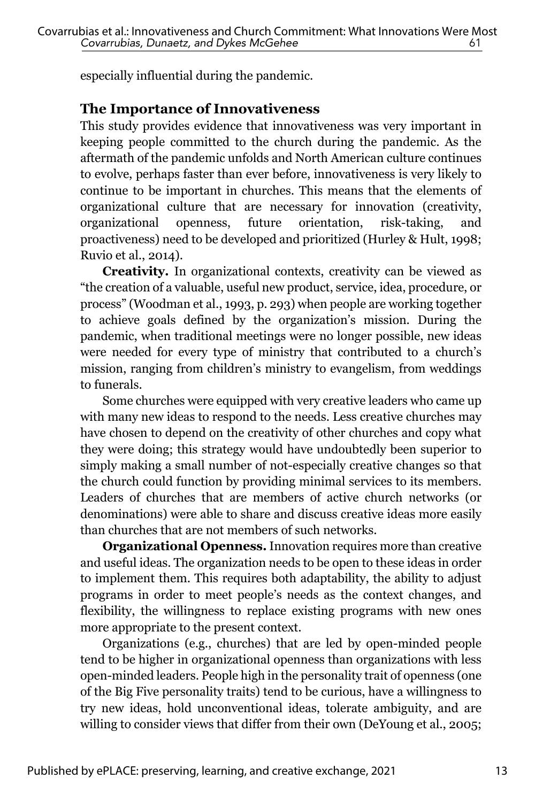especially influential during the pandemic.

## **The Importance of Innovativeness**

This study provides evidence that innovativeness was very important in keeping people committed to the church during the pandemic. As the aftermath of the pandemic unfolds and North American culture continues to evolve, perhaps faster than ever before, innovativeness is very likely to continue to be important in churches. This means that the elements of organizational culture that are necessary for innovation (creativity, organizational openness, future orientation, risk-taking, and proactiveness) need to be developed and prioritized (Hurley & Hult, 1998; Ruvio et al., 2014).

**Creativity.** In organizational contexts, creativity can be viewed as "the creation of a valuable, useful new product, service, idea, procedure, or process" (Woodman et al., 1993, p. 293) when people are working together to achieve goals defined by the organization's mission. During the pandemic, when traditional meetings were no longer possible, new ideas were needed for every type of ministry that contributed to a church's mission, ranging from children's ministry to evangelism, from weddings to funerals.

Some churches were equipped with very creative leaders who came up with many new ideas to respond to the needs. Less creative churches may have chosen to depend on the creativity of other churches and copy what they were doing; this strategy would have undoubtedly been superior to simply making a small number of not-especially creative changes so that the church could function by providing minimal services to its members. Leaders of churches that are members of active church networks (or denominations) were able to share and discuss creative ideas more easily than churches that are not members of such networks.

**Organizational Openness.** Innovation requires more than creative and useful ideas. The organization needs to be open to these ideas in order to implement them. This requires both adaptability, the ability to adjust programs in order to meet people's needs as the context changes, and flexibility, the willingness to replace existing programs with new ones more appropriate to the present context.

Organizations (e.g., churches) that are led by open-minded people tend to be higher in organizational openness than organizations with less open-minded leaders. People high in the personality trait of openness (one of the Big Five personality traits) tend to be curious, have a willingness to try new ideas, hold unconventional ideas, tolerate ambiguity, and are willing to consider views that differ from their own (DeYoung et al., 2005;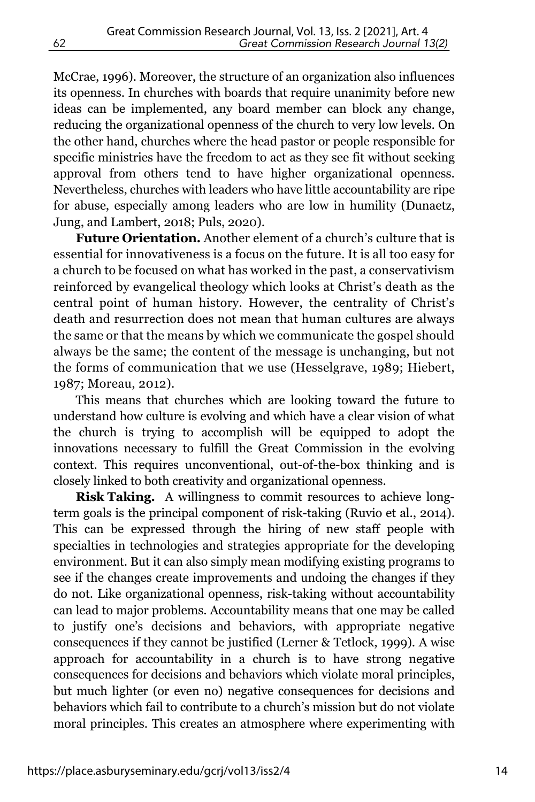McCrae, 1996). Moreover, the structure of an organization also influences its openness. In churches with boards that require unanimity before new ideas can be implemented, any board member can block any change, reducing the organizational openness of the church to very low levels. On the other hand, churches where the head pastor or people responsible for specific ministries have the freedom to act as they see fit without seeking approval from others tend to have higher organizational openness. Nevertheless, churches with leaders who have little accountability are ripe for abuse, especially among leaders who are low in humility (Dunaetz, Jung, and Lambert, 2018; Puls, 2020).

**Future Orientation.** Another element of a church's culture that is essential for innovativeness is a focus on the future. It is all too easy for a church to be focused on what has worked in the past, a conservativism reinforced by evangelical theology which looks at Christ's death as the central point of human history. However, the centrality of Christ's death and resurrection does not mean that human cultures are always the same or that the means by which we communicate the gospel should always be the same; the content of the message is unchanging, but not the forms of communication that we use (Hesselgrave, 1989; Hiebert, 1987; Moreau, 2012).

This means that churches which are looking toward the future to understand how culture is evolving and which have a clear vision of what the church is trying to accomplish will be equipped to adopt the innovations necessary to fulfill the Great Commission in the evolving context. This requires unconventional, out-of-the-box thinking and is closely linked to both creativity and organizational openness.

**Risk Taking.** A willingness to commit resources to achieve longterm goals is the principal component of risk-taking (Ruvio et al., 2014). This can be expressed through the hiring of new staff people with specialties in technologies and strategies appropriate for the developing environment. But it can also simply mean modifying existing programs to see if the changes create improvements and undoing the changes if they do not. Like organizational openness, risk-taking without accountability can lead to major problems. Accountability means that one may be called to justify one's decisions and behaviors, with appropriate negative consequences if they cannot be justified (Lerner & Tetlock, 1999). A wise approach for accountability in a church is to have strong negative consequences for decisions and behaviors which violate moral principles, but much lighter (or even no) negative consequences for decisions and behaviors which fail to contribute to a church's mission but do not violate moral principles. This creates an atmosphere where experimenting with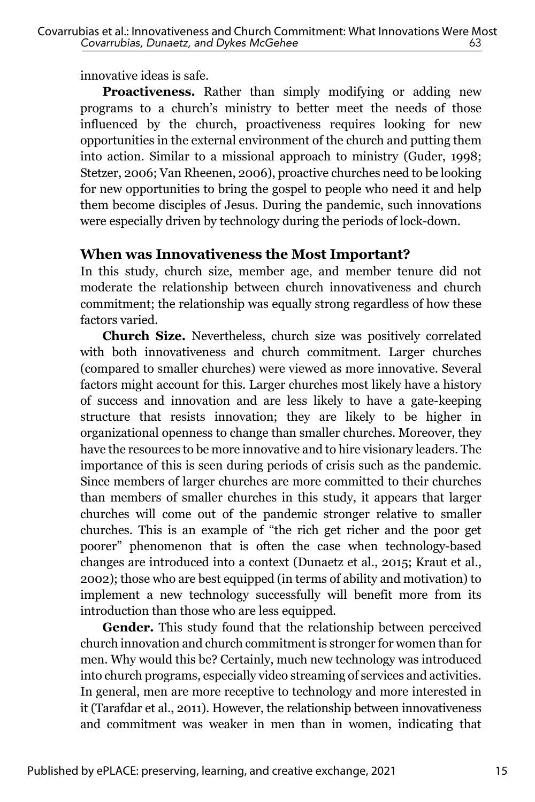innovative ideas is safe.

**Proactiveness.** Rather than simply modifying or adding new programs to a church's ministry to better meet the needs of those influenced by the church, proactiveness requires looking for new opportunities in the external environment of the church and putting them into action. Similar to a missional approach to ministry (Guder, 1998; Stetzer, 2006; Van Rheenen, 2006), proactive churches need to be looking for new opportunities to bring the gospel to people who need it and help them become disciples of Jesus. During the pandemic, such innovations were especially driven by technology during the periods of lock-down.

## **When was Innovativeness the Most Important?**

In this study, church size, member age, and member tenure did not moderate the relationship between church innovativeness and church commitment; the relationship was equally strong regardless of how these factors varied.

**Church Size.** Nevertheless, church size was positively correlated with both innovativeness and church commitment. Larger churches (compared to smaller churches) were viewed as more innovative. Several factors might account for this. Larger churches most likely have a history of success and innovation and are less likely to have a gate-keeping structure that resists innovation; they are likely to be higher in organizational openness to change than smaller churches. Moreover, they have the resources to be more innovative and to hire visionary leaders. The importance of this is seen during periods of crisis such as the pandemic. Since members of larger churches are more committed to their churches than members of smaller churches in this study, it appears that larger churches will come out of the pandemic stronger relative to smaller churches. This is an example of "the rich get richer and the poor get poorer" phenomenon that is often the case when technology-based changes are introduced into a context (Dunaetz et al., 2015; Kraut et al., 2002); those who are best equipped (in terms of ability and motivation) to implement a new technology successfully will benefit more from its introduction than those who are less equipped.

**Gender.** This study found that the relationship between perceived church innovation and church commitment is stronger for women than for men. Why would this be? Certainly, much new technology was introduced into church programs, especially video streaming of services and activities. In general, men are more receptive to technology and more interested in it (Tarafdar et al., 2011). However, the relationship between innovativeness and commitment was weaker in men than in women, indicating that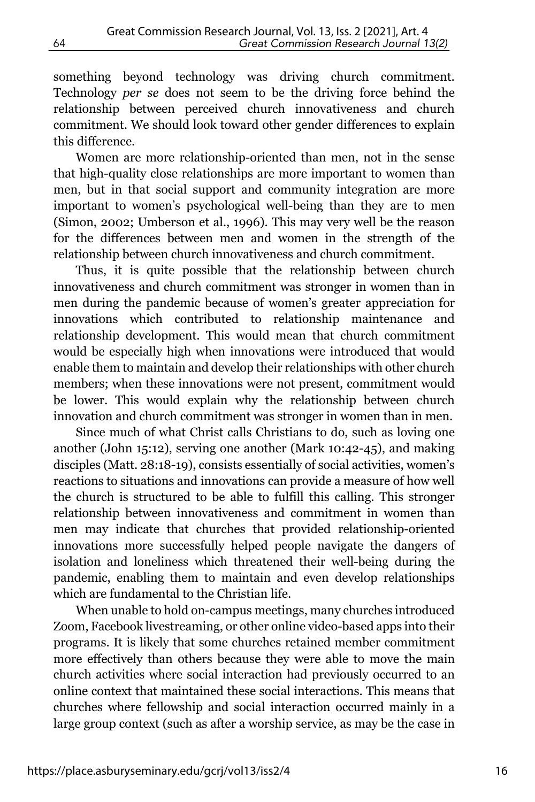something beyond technology was driving church commitment. Technology *per se* does not seem to be the driving force behind the relationship between perceived church innovativeness and church commitment. We should look toward other gender differences to explain this difference.

Women are more relationship-oriented than men, not in the sense that high-quality close relationships are more important to women than men, but in that social support and community integration are more important to women's psychological well-being than they are to men (Simon, 2002; Umberson et al., 1996). This may very well be the reason for the differences between men and women in the strength of the relationship between church innovativeness and church commitment.

Thus, it is quite possible that the relationship between church innovativeness and church commitment was stronger in women than in men during the pandemic because of women's greater appreciation for innovations which contributed to relationship maintenance and relationship development. This would mean that church commitment would be especially high when innovations were introduced that would enable them to maintain and develop their relationships with other church members; when these innovations were not present, commitment would be lower. This would explain why the relationship between church innovation and church commitment was stronger in women than in men.

Since much of what Christ calls Christians to do, such as loving one another (John 15:12), serving one another (Mark 10:42-45), and making disciples (Matt. 28:18-19), consists essentially of social activities, women's reactions to situations and innovations can provide a measure of how well the church is structured to be able to fulfill this calling. This stronger relationship between innovativeness and commitment in women than men may indicate that churches that provided relationship-oriented innovations more successfully helped people navigate the dangers of isolation and loneliness which threatened their well-being during the pandemic, enabling them to maintain and even develop relationships which are fundamental to the Christian life.

When unable to hold on-campus meetings, many churches introduced Zoom, Facebook livestreaming, or other online video-based apps into their programs. It is likely that some churches retained member commitment more effectively than others because they were able to move the main church activities where social interaction had previously occurred to an online context that maintained these social interactions. This means that churches where fellowship and social interaction occurred mainly in a large group context (such as after a worship service, as may be the case in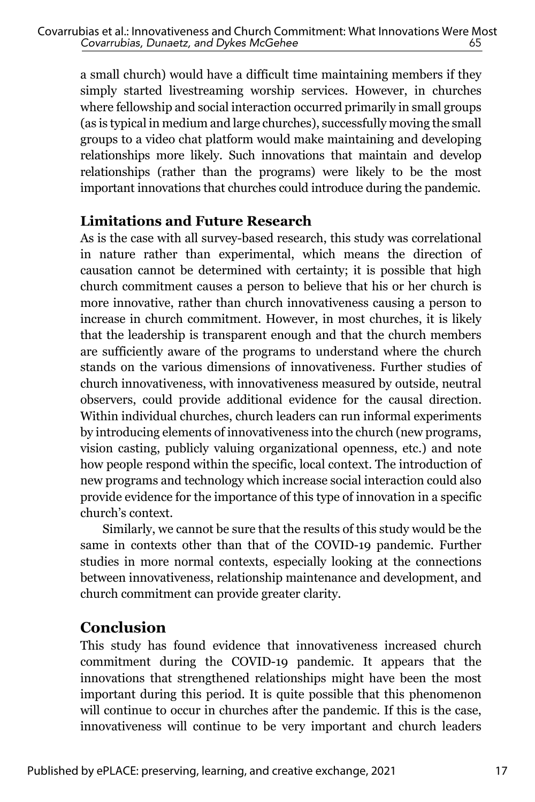a small church) would have a difficult time maintaining members if they simply started livestreaming worship services. However, in churches where fellowship and social interaction occurred primarily in small groups (as is typical in medium and large churches), successfully moving the small groups to a video chat platform would make maintaining and developing relationships more likely. Such innovations that maintain and develop relationships (rather than the programs) were likely to be the most important innovations that churches could introduce during the pandemic.

## **Limitations and Future Research**

As is the case with all survey-based research, this study was correlational in nature rather than experimental, which means the direction of causation cannot be determined with certainty; it is possible that high church commitment causes a person to believe that his or her church is more innovative, rather than church innovativeness causing a person to increase in church commitment. However, in most churches, it is likely that the leadership is transparent enough and that the church members are sufficiently aware of the programs to understand where the church stands on the various dimensions of innovativeness. Further studies of church innovativeness, with innovativeness measured by outside, neutral observers, could provide additional evidence for the causal direction. Within individual churches, church leaders can run informal experiments by introducing elements of innovativeness into the church (new programs, vision casting, publicly valuing organizational openness, etc.) and note how people respond within the specific, local context. The introduction of new programs and technology which increase social interaction could also provide evidence for the importance of this type of innovation in a specific church's context.

Similarly, we cannot be sure that the results of this study would be the same in contexts other than that of the COVID-19 pandemic. Further studies in more normal contexts, especially looking at the connections between innovativeness, relationship maintenance and development, and church commitment can provide greater clarity.

## **Conclusion**

This study has found evidence that innovativeness increased church commitment during the COVID-19 pandemic. It appears that the innovations that strengthened relationships might have been the most important during this period. It is quite possible that this phenomenon will continue to occur in churches after the pandemic. If this is the case, innovativeness will continue to be very important and church leaders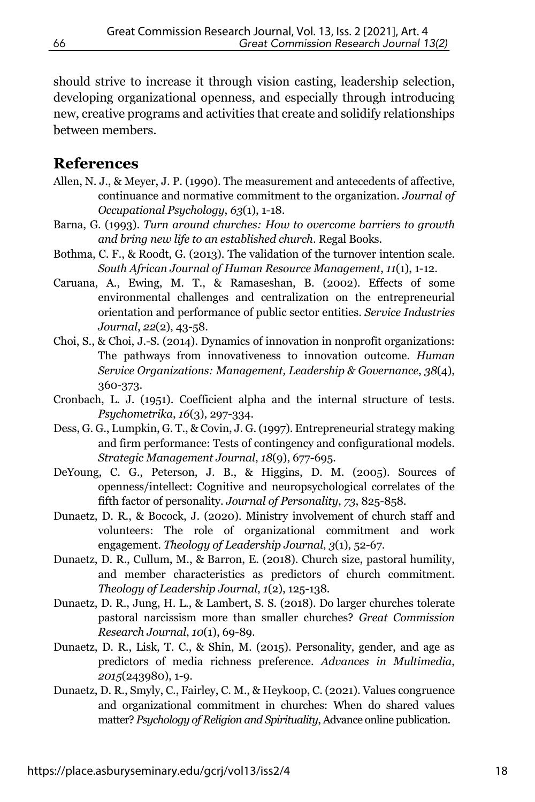should strive to increase it through vision casting, leadership selection, developing organizational openness, and especially through introducing new, creative programs and activities that create and solidify relationships between members.

#### **References**

- Allen, N. J., & Meyer, J. P. (1990). The measurement and antecedents of affective, continuance and normative commitment to the organization. *Journal of Occupational Psychology*, *63*(1), 1-18.
- Barna, G. (1993). *Turn around churches: How to overcome barriers to growth and bring new life to an established church*. Regal Books.
- Bothma, C. F., & Roodt, G. (2013). The validation of the turnover intention scale. *South African Journal of Human Resource Management*, *11*(1), 1-12.
- Caruana, A., Ewing, M. T., & Ramaseshan, B. (2002). Effects of some environmental challenges and centralization on the entrepreneurial orientation and performance of public sector entities. *Service Industries Journal*, *22*(2), 43-58.
- Choi, S., & Choi, J.-S. (2014). Dynamics of innovation in nonprofit organizations: The pathways from innovativeness to innovation outcome. *Human Service Organizations: Management, Leadership & Governance*, *38*(4), 360-373.
- Cronbach, L. J. (1951). Coefficient alpha and the internal structure of tests. *Psychometrika*, *16*(3), 297-334.
- Dess, G. G., Lumpkin, G. T., & Covin, J. G. (1997). Entrepreneurial strategy making and firm performance: Tests of contingency and configurational models. *Strategic Management Journal*, *18*(9), 677-695.
- DeYoung, C. G., Peterson, J. B., & Higgins, D. M. (2005). Sources of openness/intellect: Cognitive and neuropsychological correlates of the fifth factor of personality. *Journal of Personality*, *73*, 825-858.
- Dunaetz, D. R., & Bocock, J. (2020). Ministry involvement of church staff and volunteers: The role of organizational commitment and work engagement. *Theology of Leadership Journal*, *3*(1), 52-67.
- Dunaetz, D. R., Cullum, M., & Barron, E. (2018). Church size, pastoral humility, and member characteristics as predictors of church commitment. *Theology of Leadership Journal*, *1*(2), 125-138.
- Dunaetz, D. R., Jung, H. L., & Lambert, S. S. (2018). Do larger churches tolerate pastoral narcissism more than smaller churches? *Great Commission Research Journal*, *10*(1), 69-89.
- Dunaetz, D. R., Lisk, T. C., & Shin, M. (2015). Personality, gender, and age as predictors of media richness preference. *Advances in Multimedia*, *2015*(243980), 1-9.
- Dunaetz, D. R., Smyly, C., Fairley, C. M., & Heykoop, C. (2021). Values congruence and organizational commitment in churches: When do shared values matter? *Psychology of Religion and Spirituality*, Advance online publication.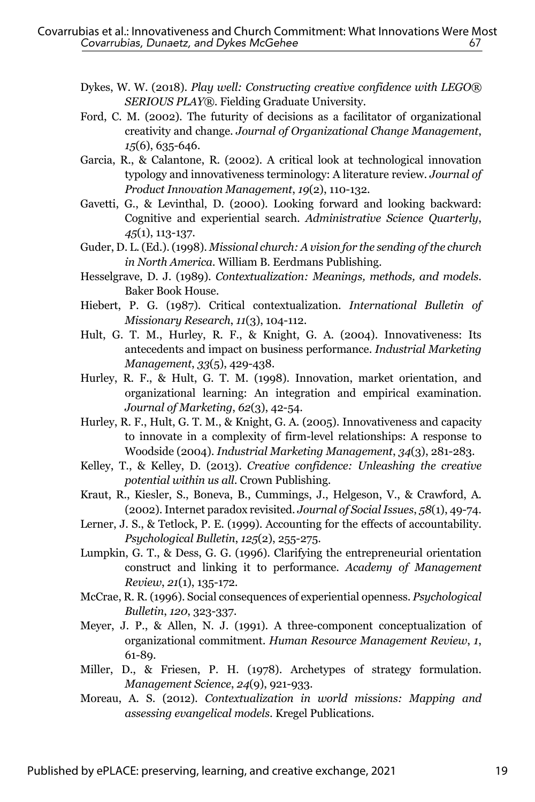- Dykes, W. W. (2018). *Play well: Constructing creative confidence with LEGO® SERIOUS PLAY®*. Fielding Graduate University.
- Ford, C. M. (2002). The futurity of decisions as a facilitator of organizational creativity and change. *Journal of Organizational Change Management*, *15*(6), 635-646.
- Garcia, R., & Calantone, R. (2002). A critical look at technological innovation typology and innovativeness terminology: A literature review. *Journal of Product Innovation Management*, *19*(2), 110-132.
- Gavetti, G., & Levinthal, D. (2000). Looking forward and looking backward: Cognitive and experiential search. *Administrative Science Quarterly*, *45*(1), 113-137.
- Guder, D. L. (Ed.). (1998). *Missional church: A vision for the sending of the church in North America*. William B. Eerdmans Publishing.
- Hesselgrave, D. J. (1989). *Contextualization: Meanings, methods, and models*. Baker Book House.
- Hiebert, P. G. (1987). Critical contextualization. *International Bulletin of Missionary Research*, *11*(3), 104-112.
- Hult, G. T. M., Hurley, R. F., & Knight, G. A. (2004). Innovativeness: Its antecedents and impact on business performance. *Industrial Marketing Management*, *33*(5), 429-438.
- Hurley, R. F., & Hult, G. T. M. (1998). Innovation, market orientation, and organizational learning: An integration and empirical examination. *Journal of Marketing*, *62*(3), 42-54.
- Hurley, R. F., Hult, G. T. M., & Knight, G. A. (2005). Innovativeness and capacity to innovate in a complexity of firm-level relationships: A response to Woodside (2004). *Industrial Marketing Management*, *34*(3), 281-283.
- Kelley, T., & Kelley, D. (2013). *Creative confidence: Unleashing the creative potential within us all*. Crown Publishing.
- Kraut, R., Kiesler, S., Boneva, B., Cummings, J., Helgeson, V., & Crawford, A. (2002). Internet paradox revisited. *Journal of Social Issues*, *58*(1), 49-74.
- Lerner, J. S., & Tetlock, P. E. (1999). Accounting for the effects of accountability. *Psychological Bulletin*, *125*(2), 255-275.
- Lumpkin, G. T., & Dess, G. G. (1996). Clarifying the entrepreneurial orientation construct and linking it to performance. *Academy of Management Review*, *21*(1), 135-172.
- McCrae, R. R. (1996). Social consequences of experiential openness. *Psychological Bulletin*, *120*, 323-337.
- Meyer, J. P., & Allen, N. J. (1991). A three-component conceptualization of organizational commitment. *Human Resource Management Review*, *1*, 61-89.
- Miller, D., & Friesen, P. H. (1978). Archetypes of strategy formulation. *Management Science*, *24*(9), 921-933.
- Moreau, A. S. (2012). *Contextualization in world missions: Mapping and assessing evangelical models*. Kregel Publications.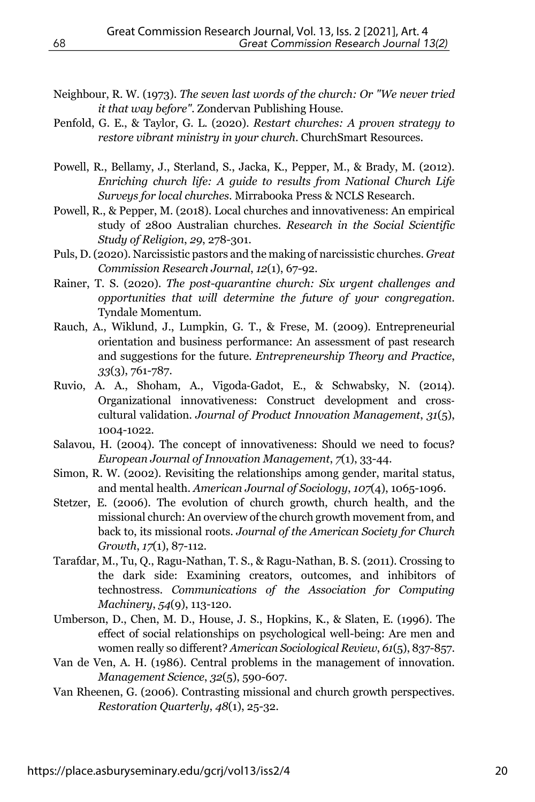- Neighbour, R. W. (1973). *The seven last words of the church: Or "We never tried it that way before"*. Zondervan Publishing House.
- Penfold, G. E., & Taylor, G. L. (2020). *Restart churches: A proven strategy to restore vibrant ministry in your church*. ChurchSmart Resources.
- Powell, R., Bellamy, J., Sterland, S., Jacka, K., Pepper, M., & Brady, M. (2012). *Enriching church life: A guide to results from National Church Life Surveys for local churches*. Mirrabooka Press & NCLS Research.
- Powell, R., & Pepper, M. (2018). Local churches and innovativeness: An empirical study of 2800 Australian churches. *Research in the Social Scientific Study of Religion*, *29*, 278-301.
- Puls, D. (2020). Narcissistic pastors and the making of narcissistic churches. *Great Commission Research Journal*, *12*(1), 67-92.
- Rainer, T. S. (2020). *The post-quarantine church: Six urgent challenges and opportunities that will determine the future of your congregation*. Tyndale Momentum.
- Rauch, A., Wiklund, J., Lumpkin, G. T., & Frese, M. (2009). Entrepreneurial orientation and business performance: An assessment of past research and suggestions for the future. *Entrepreneurship Theory and Practice*, *33*(3), 761-787.
- Ruvio, A. A., Shoham, A., Vigoda-Gadot, E., & Schwabsky, N. (2014). Organizational innovativeness: Construct development and crosscultural validation. *Journal of Product Innovation Management*, *31*(5), 1004-1022.
- Salavou, H. (2004). The concept of innovativeness: Should we need to focus? *European Journal of Innovation Management*, *7*(1), 33-44.
- Simon, R. W. (2002). Revisiting the relationships among gender, marital status, and mental health. *American Journal of Sociology*, *107*(4), 1065-1096.
- Stetzer, E. (2006). The evolution of church growth, church health, and the missional church: An overview of the church growth movement from, and back to, its missional roots. *Journal of the American Society for Church Growth*, *17*(1), 87-112.
- Tarafdar, M., Tu, Q., Ragu-Nathan, T. S., & Ragu-Nathan, B. S. (2011). Crossing to the dark side: Examining creators, outcomes, and inhibitors of technostress. *Communications of the Association for Computing Machinery*, *54*(9), 113-120.
- Umberson, D., Chen, M. D., House, J. S., Hopkins, K., & Slaten, E. (1996). The effect of social relationships on psychological well-being: Are men and women really so different? *American Sociological Review*, *61*(5), 837-857.
- Van de Ven, A. H. (1986). Central problems in the management of innovation. *Management Science*, *32*(5), 590-607.
- Van Rheenen, G. (2006). Contrasting missional and church growth perspectives. *Restoration Quarterly*, *48*(1), 25-32.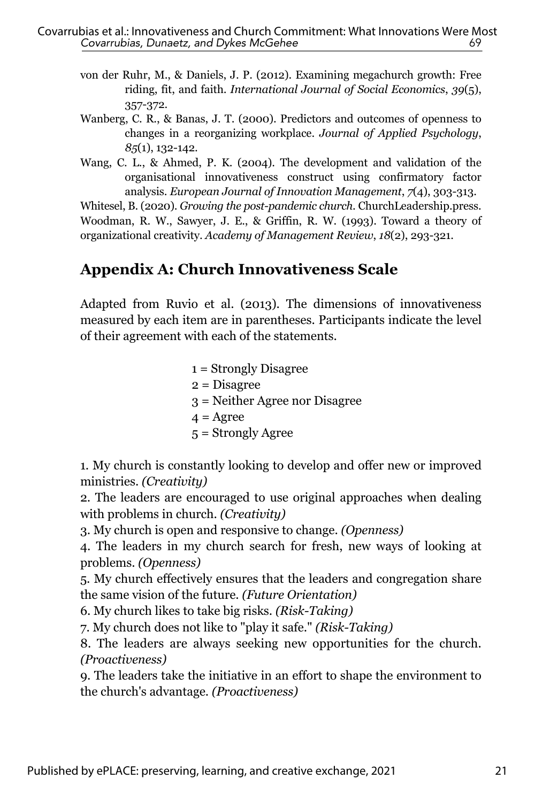- von der Ruhr, M., & Daniels, J. P. (2012). Examining megachurch growth: Free riding, fit, and faith. *International Journal of Social Economics*, *39*(5), 357-372.
- Wanberg, C. R., & Banas, J. T. (2000). Predictors and outcomes of openness to changes in a reorganizing workplace. *Journal of Applied Psychology*, *85*(1), 132-142.
- Wang, C. L., & Ahmed, P. K. (2004). The development and validation of the organisational innovativeness construct using confirmatory factor analysis. *European Journal of Innovation Management*, *7*(4), 303-313.

Whitesel, B. (2020). *Growing the post-pandemic church*. ChurchLeadership.press. Woodman, R. W., Sawyer, J. E., & Griffin, R. W. (1993). Toward a theory of organizational creativity. *Academy of Management Review*, *18*(2), 293-321.

## **Appendix A: Church Innovativeness Scale**

Adapted from Ruvio et al. (2013). The dimensions of innovativeness measured by each item are in parentheses. Participants indicate the level of their agreement with each of the statements.

> 1 = Strongly Disagree 2 = Disagree 3 = Neither Agree nor Disagree  $4 = \text{Agree}$ 5 = Strongly Agree

1. My church is constantly looking to develop and offer new or improved ministries. *(Creativity)*

2. The leaders are encouraged to use original approaches when dealing with problems in church. *(Creativity)*

3. My church is open and responsive to change. *(Openness)*

4. The leaders in my church search for fresh, new ways of looking at problems. *(Openness)*

5. My church effectively ensures that the leaders and congregation share the same vision of the future. *(Future Orientation)*

6. My church likes to take big risks. *(Risk-Taking)*

7. My church does not like to "play it safe." *(Risk-Taking)*

8. The leaders are always seeking new opportunities for the church. *(Proactiveness)*

9. The leaders take the initiative in an effort to shape the environment to the church's advantage. *(Proactiveness)*